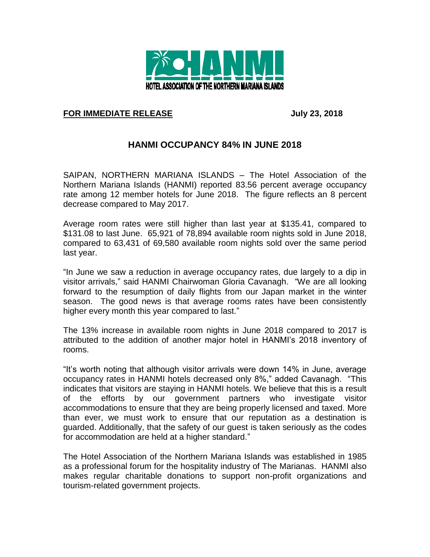

## **FOR IMMEDIATE RELEASE July 23, 2018**

## **HANMI OCCUPANCY 84% IN JUNE 2018**

SAIPAN, NORTHERN MARIANA ISLANDS – The Hotel Association of the Northern Mariana Islands (HANMI) reported 83.56 percent average occupancy rate among 12 member hotels for June 2018. The figure reflects an 8 percent decrease compared to May 2017.

Average room rates were still higher than last year at \$135.41, compared to \$131.08 to last June. 65,921 of 78,894 available room nights sold in June 2018, compared to 63,431 of 69,580 available room nights sold over the same period last year.

"In June we saw a reduction in average occupancy rates, due largely to a dip in visitor arrivals," said HANMI Chairwoman Gloria Cavanagh. "We are all looking forward to the resumption of daily flights from our Japan market in the winter season. The good news is that average rooms rates have been consistently higher every month this year compared to last."

The 13% increase in available room nights in June 2018 compared to 2017 is attributed to the addition of another major hotel in HANMI's 2018 inventory of rooms.

"It's worth noting that although visitor arrivals were down 14% in June, average occupancy rates in HANMI hotels decreased only 8%," added Cavanagh. "This indicates that visitors are staying in HANMI hotels. We believe that this is a result of the efforts by our government partners who investigate visitor accommodations to ensure that they are being properly licensed and taxed. More than ever, we must work to ensure that our reputation as a destination is guarded. Additionally, that the safety of our guest is taken seriously as the codes for accommodation are held at a higher standard."

The Hotel Association of the Northern Mariana Islands was established in 1985 as a professional forum for the hospitality industry of The Marianas. HANMI also makes regular charitable donations to support non-profit organizations and tourism-related government projects.